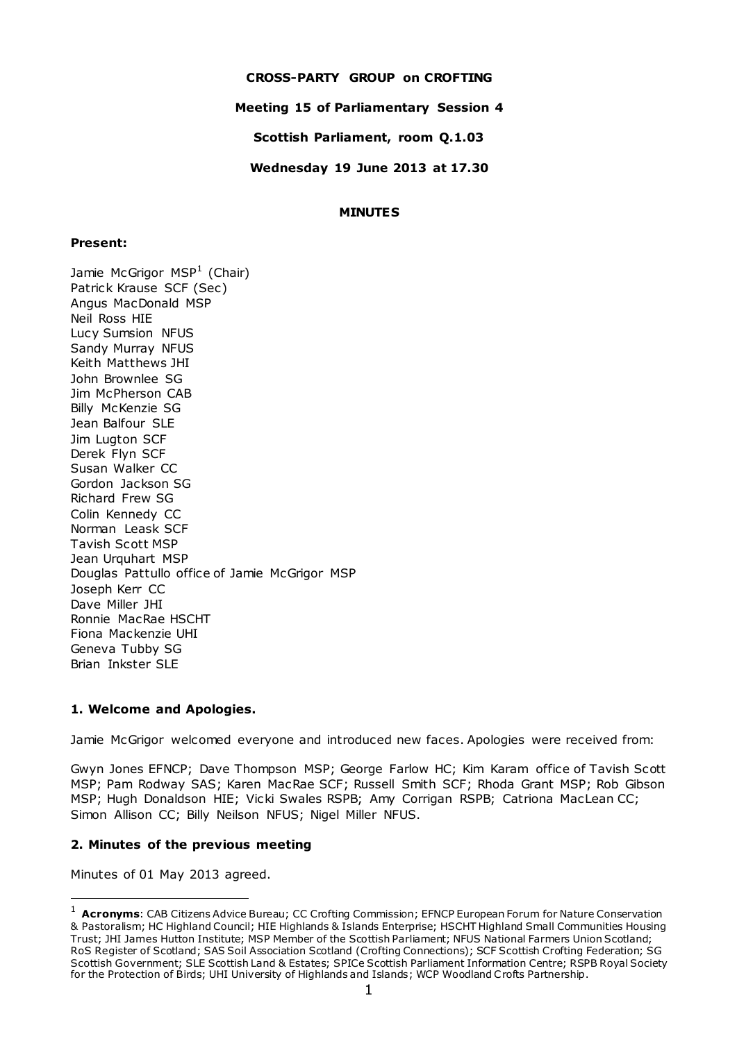## **CROSS-PARTY GROUP on CROFTING**

## **Meeting 15 of Parliamentary Session 4**

**Scottish Parliament, room Q.1.03**

**Wednesday 19 June 2013 at 17.30**

### **MINUTES**

### **Present:**

Jamie McGrigor MSP $^1$  (Chair) Patrick Krause SCF (Sec) Angus MacDonald MSP Neil Ross HIE Lucy Sumsion NFUS Sandy Murray NFUS Keith Matthews JHI John Brownlee SG Jim McPherson CAB Billy McKenzie SG Jean Balfour SLE Jim Lugton SCF Derek Flyn SCF Susan Walker CC Gordon Jackson SG Richard Frew SG Colin Kennedy CC Norman Leask SCF Tavish Scott MSP Jean Urquhart MSP Douglas Pattullo office of Jamie McGrigor MSP Joseph Kerr CC Dave Miller JHI Ronnie MacRae HSCHT Fiona Mackenzie UHI Geneva Tubby SG Brian Inkster SLE

## **1. Welcome and Apologies.**

Jamie McGrigor welcomed everyone and introduced new faces. Apologies were received from:

Gwyn Jones EFNCP; Dave Thompson MSP; George Farlow HC; Kim Karam office of Tavish Scott MSP; Pam Rodway SAS; Karen MacRae SCF; Russell Smith SCF; Rhoda Grant MSP; Rob Gibson MSP; Hugh Donaldson HIE; Vicki Swales RSPB; Amy Corrigan RSPB; Catriona MacLean CC; Simon Allison CC; Billy Neilson NFUS; Nigel Miller NFUS.

# **2. Minutes of the previous meeting**

Minutes of 01 May 2013 agreed.

 $\overline{a}$ 

<sup>1</sup> **Acronyms**: CAB Citizens Advice Bureau; CC Crofting Commission; EFNCP European Forum for Nature Conservation & Pastoralism; HC Highland Council; HIE Highlands & Islands Enterprise; HSCHT Highland Small Communities Housing Trust; JHI James Hutton Institute; MSP Member of the Scottish Parliament; NFUS National Farmers Union Scotland; RoS Register of Scotland; SAS Soil Association Scotland (Crofting Connections); SCF Scottish Crofting Federation; SG Scottish Government; SLE Scottish Land & Estates; SPICe Scottish Parliament Information Centre; RSPB Royal Society for the Protection of Birds; UHI University of Highlands and Islands; WCP Woodland Crofts Partnership.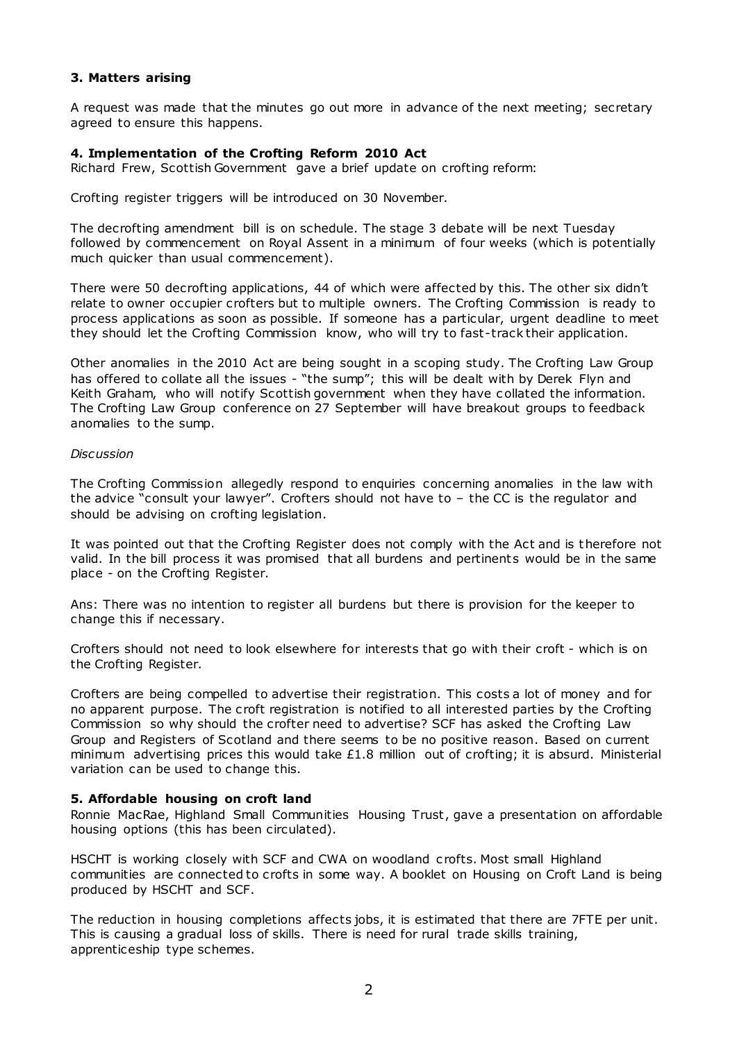## **3. Matters arising**

A request was made that the minutes go out more in advance of the next meeting; secretary agreed to ensure this happens.

#### **4. Implementation of the Crofting Reform 2010 Act**

Richard Frew, Scottish Government gave a brief update on crofting reform:

Crofting register triggers will be introduced on 30 November.

The decrofting amendment bill is on schedule. The stage 3 debate will be next Tuesday followed by commencement on Royal Assent in a minimum of four weeks (which is potentially much quicker than usual commencement).

There were 50 decrofting applications, 44 of which were affected by this. The other six didn't relate to owner occupier crofters but to multiple owners. The Crofting Commission is ready to process applications as soon as possible. If someone has a particular, urgent deadline to meet they should let the Crofting Commission know, who will try to fast-track their application.

Other anomalies in the 2010 Act are being sought in a scoping study. The Crofting Law Group has offered to collate all the issues - "the sump"; this will be dealt with by Derek Flyn and Keith Graham, who will notify Scottish government when they have c ollated the information. The Crofting Law Group conference on 27 September will have breakout groups to feedback anomalies to the sump.

#### *Discussion*

The Crofting Commission allegedly respond to enquiries concerning anomalies in the law with the advice "consult your lawyer". Crofters should not have to – the CC is the regulator and should be advising on crofting legislation.

It was pointed out that the Crofting Register does not comply with the Act and is therefore not valid. In the bill process it was promised that all burdens and pertinents would be in the same place - on the Crofting Register.

Ans: There was no intention to register all burdens but there is provision for the keeper to change this if necessary.

Crofters should not need to look elsewhere for interests that go with their croft - which is on the Crofting Register.

Crofters are being compelled to advertise their registration. This costs a lot of money and for no apparent purpose. The croft registration is notified to all interested parties by the Crofting Commission so why should the crofter need to advertise? SCF has asked the Crofting Law Group and Registers of Scotland and there seems to be no positive reason. Based on current minimum advertising prices this would take £1.8 million out of crofting; it is absurd. Ministerial variation can be used to change this.

#### **5. Affordable housing on croft land**

Ronnie MacRae, Highland Small Communities Housing Trust, gave a presentation on affordable housing options (this has been circulated).

HSCHT is working closely with SCF and CWA on woodland c rofts. Most small Highland communities are connected to crofts in some way. A booklet on Housing on Croft Land is being produced by HSCHT and SCF.

The reduction in housing completions affects jobs, it is estimated that there are 7FTE per unit. This is causing a gradual loss of skills. There is need for rural trade skills training, apprenticeship type schemes.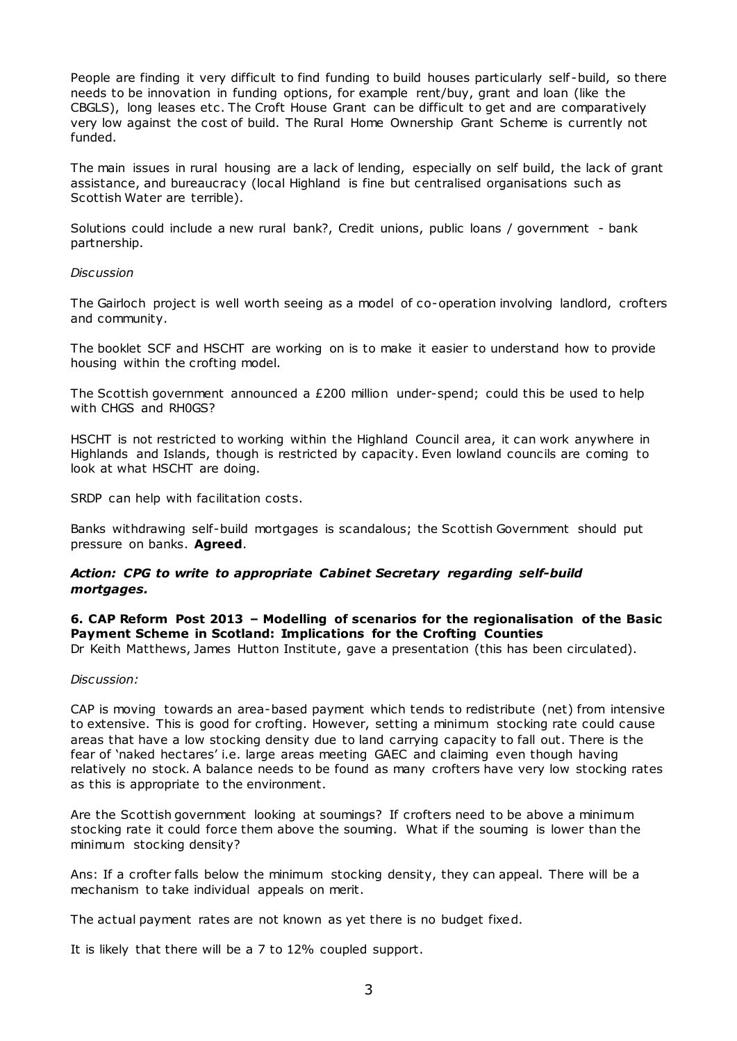People are finding it very difficult to find funding to build houses particularly self-build, so there needs to be innovation in funding options, for example rent/buy, grant and loan (like the CBGLS), long leases etc . The Croft House Grant can be difficult to get and are comparatively very low against the cost of build. The Rural Home Ownership Grant Scheme is currently not funded.

The main issues in rural housing are a lack of lending, especially on self build, the lack of grant assistance, and bureaucracy (local Highland is fine but centralised organisations such as Scottish Water are terrible).

Solutions could include a new rural bank?, Credit unions, public loans / government - bank partnership.

#### *Discussion*

The Gairloch project is well worth seeing as a model of co-operation involving landlord, crofters and community.

The booklet SCF and HSCHT are working on is to make it easier to understand how to provide housing within the crofting model.

The Scottish government announced a £200 million under-spend; could this be used to help with CHGS and RH0GS?

HSCHT is not restricted to working within the Highland Council area, it can work anywhere in Highlands and Islands, though is restricted by capacity. Even lowland councils are coming to look at what HSCHT are doing.

SRDP can help with facilitation costs.

Banks withdrawing self-build mortgages is scandalous; the Scottish Government should put pressure on banks. **Agreed**.

## *Action: CPG to write to appropriate Cabinet Secretary regarding self-build mortgages.*

# **6. CAP Reform Post 2013 – Modelling of scenarios for the regionalisation of the Basic Payment Scheme in Scotland: Implications for the Crofting Counties**

Dr Keith Matthews, James Hutton Institute, gave a presentation (this has been circulated).

#### *Discussion:*

CAP is moving towards an area-based payment which tends to redistribute (net) from intensive to extensive. This is good for crofting. However, setting a minimum stocking rate could cause areas that have a low stocking density due to land carrying capacity to fall out. There is the fear of 'naked hectares' i.e. large areas meeting GAEC and claiming even though having relatively no stock. A balance needs to be found as many crofters have very low stocking rates as this is appropriate to the environment.

Are the Scottish government looking at soumings? If crofters need to be above a minimum stocking rate it could force them above the souming. What if the souming is lower than the minimum stocking density?

Ans: If a crofter falls below the minimum stocking density, they can appeal. There will be a mechanism to take individual appeals on merit.

The actual payment rates are not known as yet there is no budget fixed.

It is likely that there will be a 7 to 12% coupled support.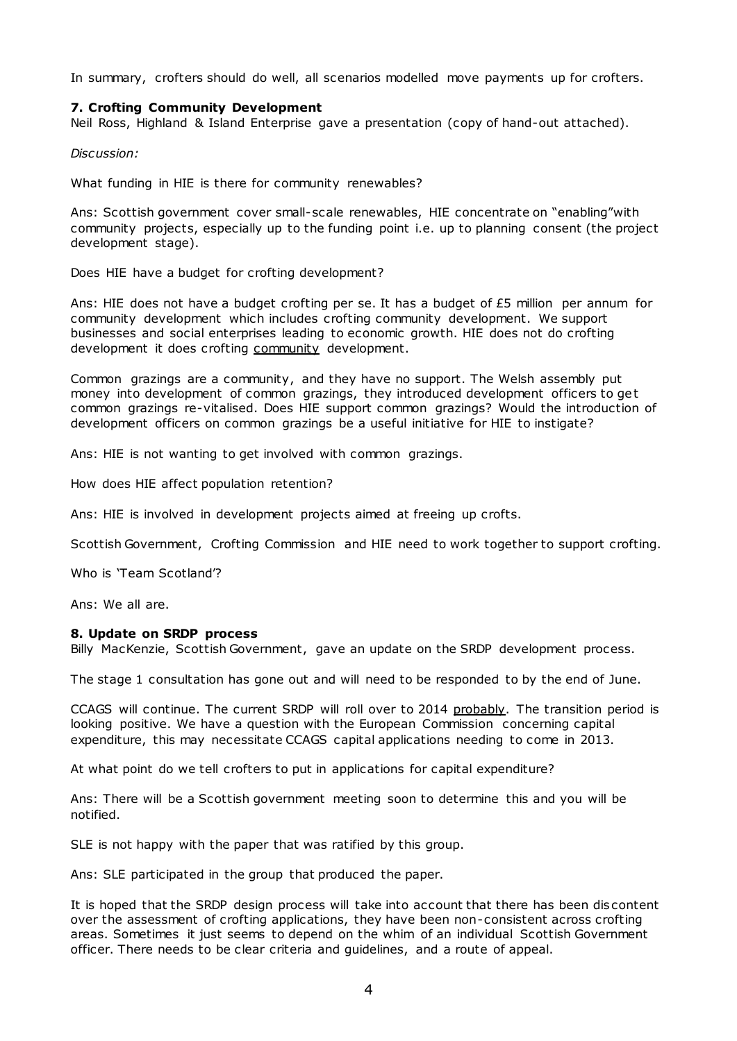In summary, crofters should do well, all scenarios modelled move payments up for crofters.

### **7. Crofting Community Development**

Neil Ross, Highland & Island Enterprise gave a presentation (copy of hand-out attached).

*Discussion:*

What funding in HIE is there for community renewables?

Ans: Scottish government cover small-scale renewables, HIE concentrate on "enabling"with community projects, especially up to the funding point i.e. up to planning consent (the project development stage).

Does HIE have a budget for crofting development?

Ans: HIE does not have a budget crofting per se. It has a budget of £5 million per annum for community development which includes crofting community development. We support businesses and social enterprises leading to economic growth. HIE does not do crofting development it does crofting community development.

Common grazings are a community, and they have no support. The Welsh assembly put money into development of common grazings, they introduced development officers to get common grazings re-vitalised. Does HIE support common grazings? Would the introduction of development officers on common grazings be a useful initiative for HIE to instigate?

Ans: HIE is not wanting to get involved with common grazings.

How does HIE affect population retention?

Ans: HIE is involved in development projects aimed at freeing up crofts.

Scottish Government, Crofting Commission and HIE need to work together to support crofting.

Who is 'Team Scotland'?

Ans: We all are.

#### **8. Update on SRDP process**

Billy MacKenzie, Scottish Government, gave an update on the SRDP development process.

The stage 1 consultation has gone out and will need to be responded to by the end of June.

CCAGS will continue. The current SRDP will roll over to 2014 probably. The transition period is looking positive. We have a question with the European Commission concerning capital expenditure, this may necessitate CCAGS capital applications needing to come in 2013.

At what point do we tell crofters to put in applications for capital expenditure?

Ans: There will be a Scottish government meeting soon to determine this and you will be notified.

SLE is not happy with the paper that was ratified by this group.

Ans: SLE participated in the group that produced the paper.

It is hoped that the SRDP design process will take into account that there has been dis content over the assessment of crofting applications, they have been non-consistent across crofting areas. Sometimes it just seems to depend on the whim of an individual Scottish Government officer. There needs to be clear criteria and guidelines, and a route of appeal.